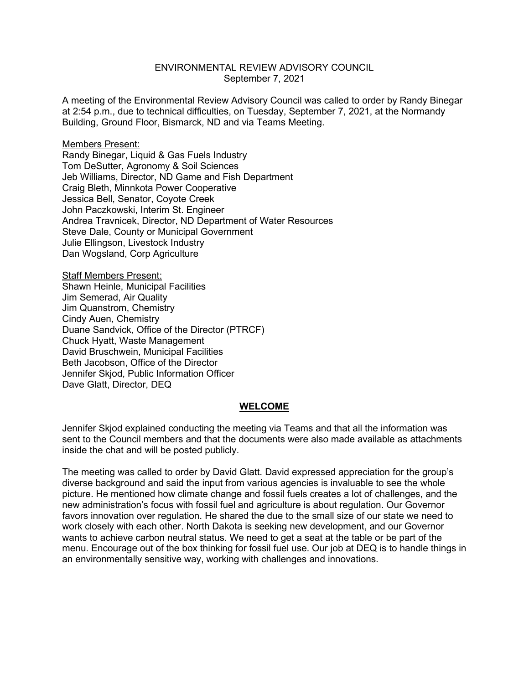## ENVIRONMENTAL REVIEW ADVISORY COUNCIL September 7, 2021

A meeting of the Environmental Review Advisory Council was called to order by Randy Binegar at 2:54 p.m., due to technical difficulties, on Tuesday, September 7, 2021, at the Normandy Building, Ground Floor, Bismarck, ND and via Teams Meeting.

#### Members Present:

Randy Binegar, Liquid & Gas Fuels Industry Tom DeSutter, Agronomy & Soil Sciences Jeb Williams, Director, ND Game and Fish Department Craig Bleth, Minnkota Power Cooperative Jessica Bell, Senator, Coyote Creek John Paczkowski, Interim St. Engineer Andrea Travnicek, Director, ND Department of Water Resources Steve Dale, County or Municipal Government Julie Ellingson, Livestock Industry Dan Wogsland, Corp Agriculture

Staff Members Present: Shawn Heinle, Municipal Facilities Jim Semerad, Air Quality Jim Quanstrom, Chemistry Cindy Auen, Chemistry Duane Sandvick, Office of the Director (PTRCF) Chuck Hyatt, Waste Management David Bruschwein, Municipal Facilities Beth Jacobson, Office of the Director Jennifer Skjod, Public Information Officer Dave Glatt, Director, DEQ

#### **WELCOME**

Jennifer Skjod explained conducting the meeting via Teams and that all the information was sent to the Council members and that the documents were also made available as attachments inside the chat and will be posted publicly.

The meeting was called to order by David Glatt. David expressed appreciation for the group's diverse background and said the input from various agencies is invaluable to see the whole picture. He mentioned how climate change and fossil fuels creates a lot of challenges, and the new administration's focus with fossil fuel and agriculture is about regulation. Our Governor favors innovation over regulation. He shared the due to the small size of our state we need to work closely with each other. North Dakota is seeking new development, and our Governor wants to achieve carbon neutral status. We need to get a seat at the table or be part of the menu. Encourage out of the box thinking for fossil fuel use. Our job at DEQ is to handle things in an environmentally sensitive way, working with challenges and innovations.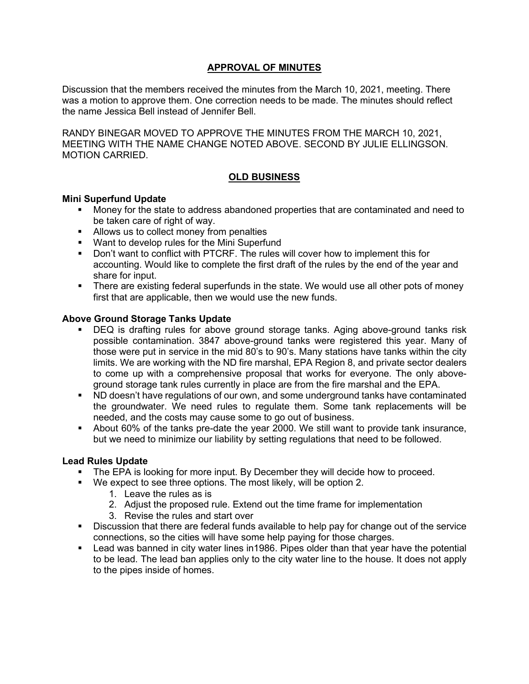# **APPROVAL OF MINUTES**

Discussion that the members received the minutes from the March 10, 2021, meeting. There was a motion to approve them. One correction needs to be made. The minutes should reflect the name Jessica Bell instead of Jennifer Bell.

RANDY BINEGAR MOVED TO APPROVE THE MINUTES FROM THE MARCH 10, 2021, MEETING WITH THE NAME CHANGE NOTED ABOVE. SECOND BY JULIE ELLINGSON. MOTION CARRIED.

# **OLD BUSINESS**

#### **Mini Superfund Update**

- Money for the state to address abandoned properties that are contaminated and need to be taken care of right of way.
- Allows us to collect money from penalties
- **Want to develop rules for the Mini Superfund**
- Don't want to conflict with PTCRF. The rules will cover how to implement this for accounting. Would like to complete the first draft of the rules by the end of the year and share for input.
- There are existing federal superfunds in the state. We would use all other pots of money first that are applicable, then we would use the new funds.

## **Above Ground Storage Tanks Update**

- DEQ is drafting rules for above ground storage tanks. Aging above-ground tanks risk possible contamination. 3847 above-ground tanks were registered this year. Many of those were put in service in the mid 80's to 90's. Many stations have tanks within the city limits. We are working with the ND fire marshal, EPA Region 8, and private sector dealers to come up with a comprehensive proposal that works for everyone. The only aboveground storage tank rules currently in place are from the fire marshal and the EPA.
- ND doesn't have regulations of our own, and some underground tanks have contaminated the groundwater. We need rules to regulate them. Some tank replacements will be needed, and the costs may cause some to go out of business.
- About 60% of the tanks pre-date the year 2000. We still want to provide tank insurance, but we need to minimize our liability by setting regulations that need to be followed.

## **Lead Rules Update**

- The EPA is looking for more input. By December they will decide how to proceed.
- We expect to see three options. The most likely, will be option 2.
	- 1. Leave the rules as is
	- 2. Adjust the proposed rule. Extend out the time frame for implementation
	- 3. Revise the rules and start over
- **Discussion that there are federal funds available to help pay for change out of the service** connections, so the cities will have some help paying for those charges.
- Lead was banned in city water lines in1986. Pipes older than that year have the potential to be lead. The lead ban applies only to the city water line to the house. It does not apply to the pipes inside of homes.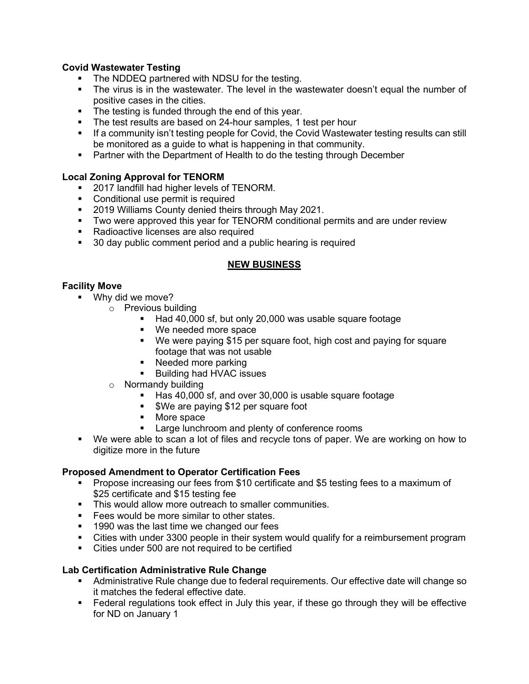# **Covid Wastewater Testing**

- The NDDEQ partnered with NDSU for the testing.
- The virus is in the wastewater. The level in the wastewater doesn't equal the number of positive cases in the cities.
- **The testing is funded through the end of this year.**
- The test results are based on 24-hour samples, 1 test per hour
- **If a community isn't testing people for Covid, the Covid Wastewater testing results can still** be monitored as a guide to what is happening in that community.
- **Partner with the Department of Health to do the testing through December**

# **Local Zoning Approval for TENORM**

- **2017 landfill had higher levels of TENORM.**
- Conditional use permit is required
- **2019 Williams County denied theirs through May 2021.**
- **Two were approved this year for TENORM conditional permits and are under review**
- Radioactive licenses are also required
- **30 day public comment period and a public hearing is required**

## **NEW BUSINESS**

## **Facility Move**

- **Why did we move?** 
	- o Previous building
		- Had 40,000 sf, but only 20,000 was usable square footage
		- We needed more space
		- We were paying \$15 per square foot, high cost and paying for square footage that was not usable
		- Needed more parking
		- **Building had HVAC issues**
	- o Normandy building
		- Has 40,000 sf, and over 30,000 is usable square footage
		- **\*** \$We are paying \$12 per square foot
		- More space
		- **Large lunchroom and plenty of conference rooms**
- We were able to scan a lot of files and recycle tons of paper. We are working on how to digitize more in the future

## **Proposed Amendment to Operator Certification Fees**

- **Propose increasing our fees from \$10 certificate and \$5 testing fees to a maximum of** \$25 certificate and \$15 testing fee
- This would allow more outreach to smaller communities.
- Fees would be more similar to other states.
- **1990 was the last time we changed our fees**
- Cities with under 3300 people in their system would qualify for a reimbursement program
- Cities under 500 are not required to be certified

## **Lab Certification Administrative Rule Change**

- Administrative Rule change due to federal requirements. Our effective date will change so it matches the federal effective date.
- Federal regulations took effect in July this year, if these go through they will be effective for ND on January 1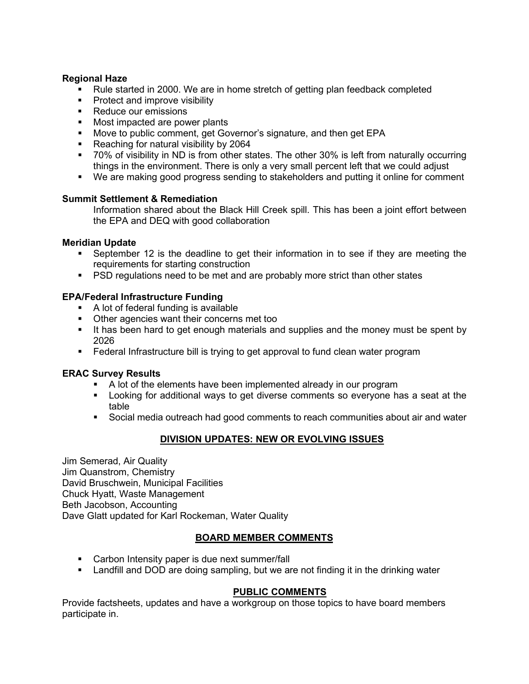#### **Regional Haze**

- Rule started in 2000. We are in home stretch of getting plan feedback completed
- **Protect and improve visibility**
- Reduce our emissions
- **Most impacted are power plants**
- **Move to public comment, get Governor's signature, and then get EPA**
- Reaching for natural visibility by 2064
- 70% of visibility in ND is from other states. The other 30% is left from naturally occurring things in the environment. There is only a very small percent left that we could adjust
- We are making good progress sending to stakeholders and putting it online for comment

#### **Summit Settlement & Remediation**

Information shared about the Black Hill Creek spill. This has been a joint effort between the EPA and DEQ with good collaboration

#### **Meridian Update**

- September 12 is the deadline to get their information in to see if they are meeting the requirements for starting construction
- **PSD regulations need to be met and are probably more strict than other states**

#### **EPA/Federal Infrastructure Funding**

- A lot of federal funding is available
- Other agencies want their concerns met too
- It has been hard to get enough materials and supplies and the money must be spent by 2026
- Federal Infrastructure bill is trying to get approval to fund clean water program

#### **ERAC Survey Results**

- A lot of the elements have been implemented already in our program
- Looking for additional ways to get diverse comments so everyone has a seat at the table
- Social media outreach had good comments to reach communities about air and water

## **DIVISION UPDATES: NEW OR EVOLVING ISSUES**

Jim Semerad, Air Quality Jim Quanstrom, Chemistry David Bruschwein, Municipal Facilities Chuck Hyatt, Waste Management Beth Jacobson, Accounting Dave Glatt updated for Karl Rockeman, Water Quality

## **BOARD MEMBER COMMENTS**

- **Carbon Intensity paper is due next summer/fall**
- Landfill and DOD are doing sampling, but we are not finding it in the drinking water

## **PUBLIC COMMENTS**

Provide factsheets, updates and have a workgroup on those topics to have board members participate in.